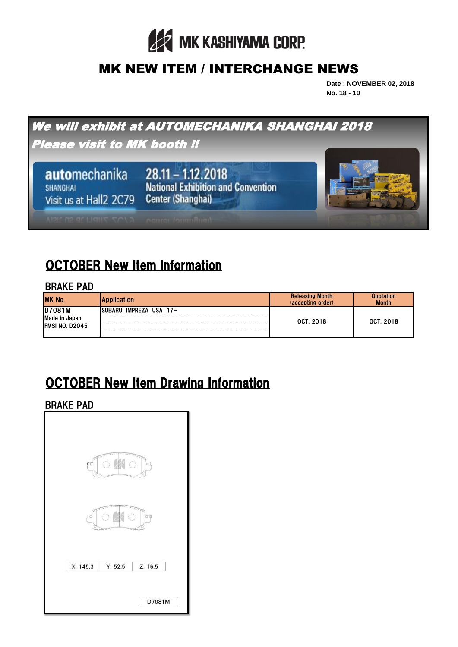

### MK NEW ITEM / INTERCHANGE NEWS

**Date : NOVEMBER 02, 2018 No. 18 - 10**



# OCTOBER New Item Information

#### BRAKE PAD

| MK No.                                            | <b>Application</b>                   | <b>Releasing Month</b><br>(accepting order) | <b>Quotation</b><br><b>Month</b> |
|---------------------------------------------------|--------------------------------------|---------------------------------------------|----------------------------------|
| D7081M<br>Made in Japan<br><b>IFMSI NO. D2045</b> | <b>IMPREZA</b><br>USA 17-<br>ISURARU | <b>OCT. 2018</b>                            | <b>OCT. 2018</b>                 |

## OCTOBER New Item Drawing Information

BRAKE PAD

| Cō                | Ħ       | D       |  |
|-------------------|---------|---------|--|
| O<br>O<br>on<br>¢ |         |         |  |
| X: 145.3          | Y: 52.5 | Z: 16.5 |  |
|                   |         | D7081M  |  |